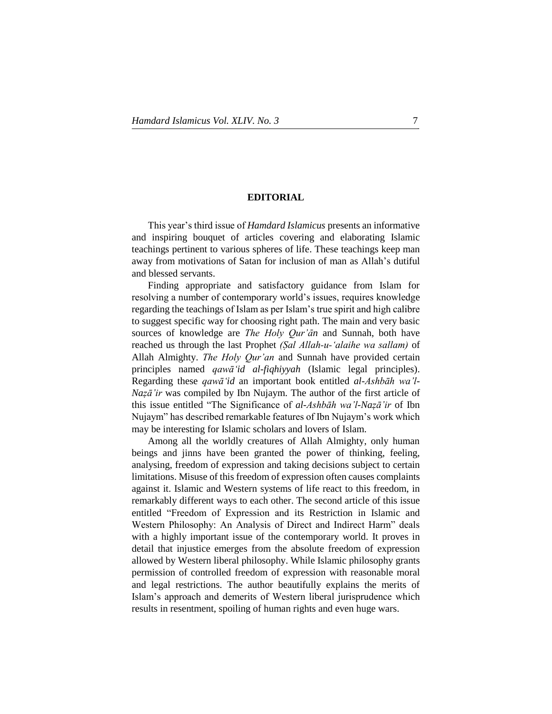## **EDITORIAL**

..

This year's third issue of *Hamdard Islamicus* presents an informative and inspiring bouquet of articles covering and elaborating Islamic teachings pertinent to various spheres of life. These teachings keep man away from motivations of Satan for inclusion of man as Allah's dutiful and blessed servants.

Finding appropriate and satisfactory guidance from Islam for resolving a number of contemporary world's issues, requires knowledge regarding the teachings of Islam as per Islam's true spirit and high calibre to suggest specific way for choosing right path. The main and very basic sources of knowledge are *The Holy Qur'Én* and Sunnah, both have reached us through the last Prophet *(Øal Allah-u-'alaihe wa sallam)* of Allah Almighty. *The Holy Qur'an* and Sunnah have provided certain principles named *qawā'id al-fiqhiyyah* (Islamic legal principles). Regarding these *qawā'id* an important book entitled *al-Ashbāh wa'l-Naẓā'ir* was compiled by Ibn Nujaym. The author of the first article of this issue entitled "The Significance of *al-Ashbāh wa'l-Naẓā'ir* of Ibn Nujaym" has described remarkable features of Ibn Nujaym's work which may be interesting for Islamic scholars and lovers of Islam.

Among all the worldly creatures of Allah Almighty, only human beings and jinns have been granted the power of thinking, feeling, analysing, freedom of expression and taking decisions subject to certain limitations. Misuse of this freedom of expression often causes complaints against it. Islamic and Western systems of life react to this freedom, in remarkably different ways to each other. The second article of this issue entitled "Freedom of Expression and its Restriction in Islamic and Western Philosophy: An Analysis of Direct and Indirect Harm" deals with a highly important issue of the contemporary world. It proves in detail that injustice emerges from the absolute freedom of expression allowed by Western liberal philosophy. While Islamic philosophy grants permission of controlled freedom of expression with reasonable moral and legal restrictions. The author beautifully explains the merits of Islam's approach and demerits of Western liberal jurisprudence which results in resentment, spoiling of human rights and even huge wars.